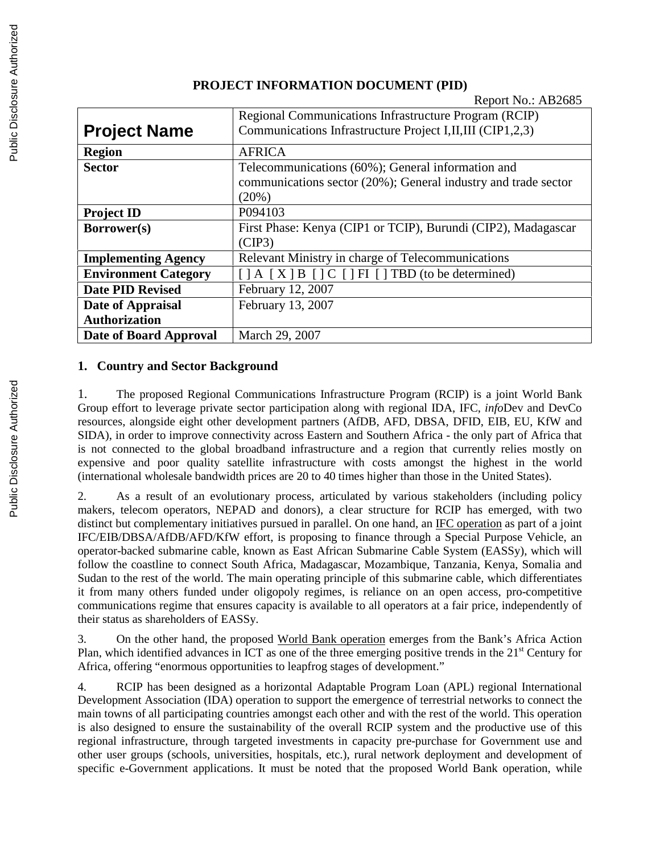|                             | N                                                                                                                            |  |  |
|-----------------------------|------------------------------------------------------------------------------------------------------------------------------|--|--|
|                             | Regional Communications Infrastructure Program (RCIP)                                                                        |  |  |
| <b>Project Name</b>         | Communications Infrastructure Project I, II, III (CIP1, 2, 3)                                                                |  |  |
| <b>Region</b>               | <b>AFRICA</b>                                                                                                                |  |  |
| <b>Sector</b>               | Telecommunications (60%); General information and<br>communications sector (20%); General industry and trade sector<br>(20%) |  |  |
| <b>Project ID</b>           | P094103                                                                                                                      |  |  |
| Borrower(s)                 | First Phase: Kenya (CIP1 or TCIP), Burundi (CIP2), Madagascar<br>(CIP3)                                                      |  |  |
| <b>Implementing Agency</b>  | Relevant Ministry in charge of Telecommunications                                                                            |  |  |
| <b>Environment Category</b> | $[$ $A$ $[X]$ $B$ $[$ $]$ $C$ $[$ $]$ $F$ $[$ $]$ $TBD$ (to be determined)                                                   |  |  |
| <b>Date PID Revised</b>     | February 12, 2007                                                                                                            |  |  |
| Date of Appraisal           | February 13, 2007                                                                                                            |  |  |
| <b>Authorization</b>        |                                                                                                                              |  |  |
| Date of Board Approval      | March 29, 2007                                                                                                               |  |  |

### **PROJECT INFORMATION DOCUMENT (PID)**

 $D_{\text{onort}} N_{\Omega}$  .  $AD2685$ 

#### **1. Country and Sector Background**

1. The proposed Regional Communications Infrastructure Program (RCIP) is a joint World Bank Group effort to leverage private sector participation along with regional IDA, IFC, *info*Dev and DevCo resources, alongside eight other development partners (AfDB, AFD, DBSA, DFID, EIB, EU, KfW and SIDA), in order to improve connectivity across Eastern and Southern Africa - the only part of Africa that is not connected to the global broadband infrastructure and a region that currently relies mostly on expensive and poor quality satellite infrastructure with costs amongst the highest in the world (international wholesale bandwidth prices are 20 to 40 times higher than those in the United States).

2. As a result of an evolutionary process, articulated by various stakeholders (including policy makers, telecom operators, NEPAD and donors), a clear structure for RCIP has emerged, with two distinct but complementary initiatives pursued in parallel. On one hand, an IFC operation as part of a joint IFC/EIB/DBSA/AfDB/AFD/KfW effort, is proposing to finance through a Special Purpose Vehicle, an operator-backed submarine cable, known as East African Submarine Cable System (EASSy), which will follow the coastline to connect South Africa, Madagascar, Mozambique, Tanzania, Kenya, Somalia and Sudan to the rest of the world. The main operating principle of this submarine cable, which differentiates it from many others funded under oligopoly regimes, is reliance on an open access, pro-competitive communications regime that ensures capacity is available to all operators at a fair price, independently of their status as shareholders of EASSy.

3. On the other hand, the proposed World Bank operation emerges from the Bank's Africa Action Plan, which identified advances in ICT as one of the three emerging positive trends in the 21<sup>st</sup> Century for Africa, offering "enormous opportunities to leapfrog stages of development."

4. RCIP has been designed as a horizontal Adaptable Program Loan (APL) regional International Development Association (IDA) operation to support the emergence of terrestrial networks to connect the main towns of all participating countries amongst each other and with the rest of the world. This operation is also designed to ensure the sustainability of the overall RCIP system and the productive use of this regional infrastructure, through targeted investments in capacity pre-purchase for Government use and other user groups (schools, universities, hospitals, etc.), rural network deployment and development of specific e-Government applications. It must be noted that the proposed World Bank operation, while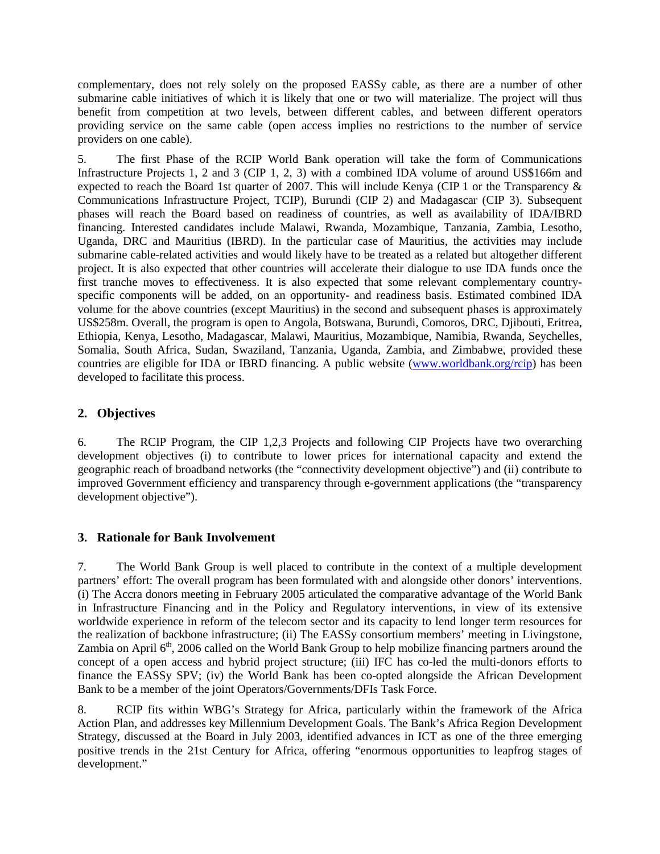complementary, does not rely solely on the proposed EASSy cable, as there are a number of other submarine cable initiatives of which it is likely that one or two will materialize. The project will thus benefit from competition at two levels, between different cables, and between different operators providing service on the same cable (open access implies no restrictions to the number of service providers on one cable).

5. The first Phase of the RCIP World Bank operation will take the form of Communications Infrastructure Projects 1, 2 and 3 (CIP 1, 2, 3) with a combined IDA volume of around US\$166m and expected to reach the Board 1st quarter of 2007. This will include Kenya (CIP 1 or the Transparency & Communications Infrastructure Project, TCIP), Burundi (CIP 2) and Madagascar (CIP 3). Subsequent phases will reach the Board based on readiness of countries, as well as availability of IDA/IBRD financing. Interested candidates include Malawi, Rwanda, Mozambique, Tanzania, Zambia, Lesotho, Uganda, DRC and Mauritius (IBRD). In the particular case of Mauritius, the activities may include submarine cable-related activities and would likely have to be treated as a related but altogether different project. It is also expected that other countries will accelerate their dialogue to use IDA funds once the first tranche moves to effectiveness. It is also expected that some relevant complementary countryspecific components will be added, on an opportunity- and readiness basis. Estimated combined IDA volume for the above countries (except Mauritius) in the second and subsequent phases is approximately US\$258m. Overall, the program is open to Angola, Botswana, Burundi, Comoros, DRC, Djibouti, Eritrea, Ethiopia, Kenya, Lesotho, Madagascar, Malawi, Mauritius, Mozambique, Namibia, Rwanda, Seychelles, Somalia, South Africa, Sudan, Swaziland, Tanzania, Uganda, Zambia, and Zimbabwe, provided these countries are eligible for IDA or IBRD financing. A public website (www.worldbank.org/rcip) has been developed to facilitate this process.

## **2. Objectives**

6. The RCIP Program, the CIP 1,2,3 Projects and following CIP Projects have two overarching development objectives (i) to contribute to lower prices for international capacity and extend the geographic reach of broadband networks (the "connectivity development objective") and (ii) contribute to improved Government efficiency and transparency through e-government applications (the "transparency development objective").

### **3. Rationale for Bank Involvement**

7. The World Bank Group is well placed to contribute in the context of a multiple development partners' effort: The overall program has been formulated with and alongside other donors' interventions. (i) The Accra donors meeting in February 2005 articulated the comparative advantage of the World Bank in Infrastructure Financing and in the Policy and Regulatory interventions, in view of its extensive worldwide experience in reform of the telecom sector and its capacity to lend longer term resources for the realization of backbone infrastructure; (ii) The EASSy consortium members' meeting in Livingstone, Zambia on April  $6<sup>th</sup>$ , 2006 called on the World Bank Group to help mobilize financing partners around the concept of a open access and hybrid project structure; (iii) IFC has co-led the multi-donors efforts to finance the EASSy SPV; (iv) the World Bank has been co-opted alongside the African Development Bank to be a member of the joint Operators/Governments/DFIs Task Force.

8. RCIP fits within WBG's Strategy for Africa, particularly within the framework of the Africa Action Plan, and addresses key Millennium Development Goals. The Bank's Africa Region Development Strategy, discussed at the Board in July 2003, identified advances in ICT as one of the three emerging positive trends in the 21st Century for Africa, offering "enormous opportunities to leapfrog stages of development."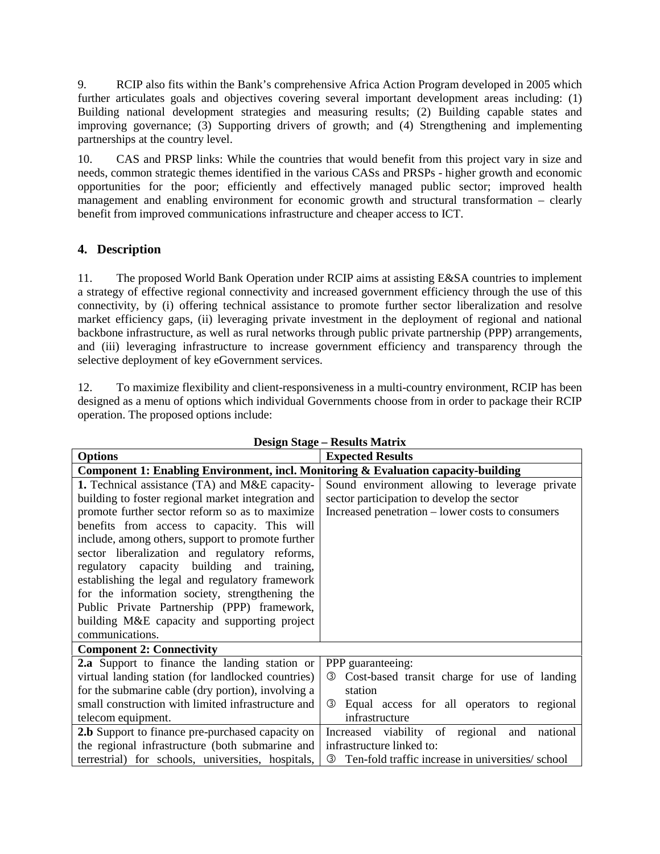9. RCIP also fits within the Bank's comprehensive Africa Action Program developed in 2005 which further articulates goals and objectives covering several important development areas including: (1) Building national development strategies and measuring results; (2) Building capable states and improving governance; (3) Supporting drivers of growth; and (4) Strengthening and implementing partnerships at the country level.

10. CAS and PRSP links: While the countries that would benefit from this project vary in size and needs, common strategic themes identified in the various CASs and PRSPs - higher growth and economic opportunities for the poor; efficiently and effectively managed public sector; improved health management and enabling environment for economic growth and structural transformation – clearly benefit from improved communications infrastructure and cheaper access to ICT.

# **4. Description**

11. The proposed World Bank Operation under RCIP aims at assisting E&SA countries to implement a strategy of effective regional connectivity and increased government efficiency through the use of this connectivity, by (i) offering technical assistance to promote further sector liberalization and resolve market efficiency gaps, (ii) leveraging private investment in the deployment of regional and national backbone infrastructure, as well as rural networks through public private partnership (PPP) arrangements, and (iii) leveraging infrastructure to increase government efficiency and transparency through the selective deployment of key eGovernment services.

12. To maximize flexibility and client-responsiveness in a multi-country environment, RCIP has been designed as a menu of options which individual Governments choose from in order to package their RCIP operation. The proposed options include:

| <b>Design Stage – Results Matrix</b>                                                                                                                                                                                                                                                                                                                                                                                                                                                                                                                                              |                                                                                                                                                            |  |  |  |  |
|-----------------------------------------------------------------------------------------------------------------------------------------------------------------------------------------------------------------------------------------------------------------------------------------------------------------------------------------------------------------------------------------------------------------------------------------------------------------------------------------------------------------------------------------------------------------------------------|------------------------------------------------------------------------------------------------------------------------------------------------------------|--|--|--|--|
| <b>Options</b>                                                                                                                                                                                                                                                                                                                                                                                                                                                                                                                                                                    | <b>Expected Results</b>                                                                                                                                    |  |  |  |  |
| Component 1: Enabling Environment, incl. Monitoring & Evaluation capacity-building                                                                                                                                                                                                                                                                                                                                                                                                                                                                                                |                                                                                                                                                            |  |  |  |  |
| 1. Technical assistance (TA) and M&E capacity-<br>building to foster regional market integration and<br>promote further sector reform so as to maximize<br>benefits from access to capacity. This will<br>include, among others, support to promote further<br>sector liberalization and regulatory reforms,<br>regulatory capacity building and training,<br>establishing the legal and regulatory framework<br>for the information society, strengthening the<br>Public Private Partnership (PPP) framework,<br>building M&E capacity and supporting project<br>communications. | Sound environment allowing to leverage private<br>sector participation to develop the sector<br>Increased penetration – lower costs to consumers           |  |  |  |  |
| <b>Component 2: Connectivity</b>                                                                                                                                                                                                                                                                                                                                                                                                                                                                                                                                                  |                                                                                                                                                            |  |  |  |  |
| 2.a Support to finance the landing station or<br>virtual landing station (for landlocked countries)<br>for the submarine cable (dry portion), involving a<br>small construction with limited infrastructure and<br>telecom equipment.                                                                                                                                                                                                                                                                                                                                             | PPP guaranteeing:<br>Cost-based transit charge for use of landing<br>(3)<br>station<br>Equal access for all operators to regional<br>(3)<br>infrastructure |  |  |  |  |
| 2.b Support to finance pre-purchased capacity on<br>the regional infrastructure (both submarine and<br>terrestrial) for schools, universities, hospitals,                                                                                                                                                                                                                                                                                                                                                                                                                         | Increased viability of regional<br>national<br>and<br>infrastructure linked to:<br><b>3</b> Ten-fold traffic increase in universities/school               |  |  |  |  |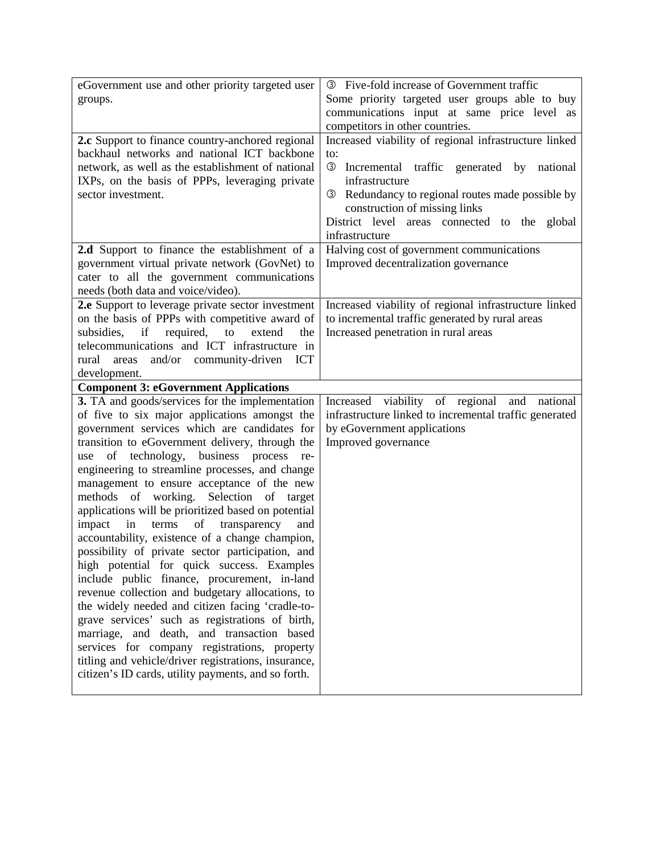| eGovernment use and other priority targeted user                                                                                                                                                                             | <b>3</b> Five-fold increase of Government traffic                                                                                                                                                                                                                                                        |  |  |
|------------------------------------------------------------------------------------------------------------------------------------------------------------------------------------------------------------------------------|----------------------------------------------------------------------------------------------------------------------------------------------------------------------------------------------------------------------------------------------------------------------------------------------------------|--|--|
| groups.                                                                                                                                                                                                                      | Some priority targeted user groups able to buy                                                                                                                                                                                                                                                           |  |  |
|                                                                                                                                                                                                                              | communications input at same price level as                                                                                                                                                                                                                                                              |  |  |
|                                                                                                                                                                                                                              | competitors in other countries.                                                                                                                                                                                                                                                                          |  |  |
| 2.c Support to finance country-anchored regional<br>backhaul networks and national ICT backbone<br>network, as well as the establishment of national<br>IXPs, on the basis of PPPs, leveraging private<br>sector investment. | Increased viability of regional infrastructure linked<br>to:<br>$\circled{3}$<br>Incremental traffic generated by national<br>infrastructure<br>Redundancy to regional routes made possible by<br>(3)<br>construction of missing links<br>District level areas connected to the global<br>infrastructure |  |  |
| 2.d Support to finance the establishment of a                                                                                                                                                                                | Halving cost of government communications                                                                                                                                                                                                                                                                |  |  |
| government virtual private network (GovNet) to                                                                                                                                                                               | Improved decentralization governance                                                                                                                                                                                                                                                                     |  |  |
| cater to all the government communications                                                                                                                                                                                   |                                                                                                                                                                                                                                                                                                          |  |  |
| needs (both data and voice/video).                                                                                                                                                                                           |                                                                                                                                                                                                                                                                                                          |  |  |
| 2.e Support to leverage private sector investment                                                                                                                                                                            | Increased viability of regional infrastructure linked                                                                                                                                                                                                                                                    |  |  |
| on the basis of PPPs with competitive award of                                                                                                                                                                               | to incremental traffic generated by rural areas                                                                                                                                                                                                                                                          |  |  |
| subsidies,<br>if<br>required,<br>to<br>extend<br>the                                                                                                                                                                         | Increased penetration in rural areas                                                                                                                                                                                                                                                                     |  |  |
| telecommunications and ICT infrastructure in                                                                                                                                                                                 |                                                                                                                                                                                                                                                                                                          |  |  |
| and/or community-driven ICT<br>rural<br>areas                                                                                                                                                                                |                                                                                                                                                                                                                                                                                                          |  |  |
| development.                                                                                                                                                                                                                 |                                                                                                                                                                                                                                                                                                          |  |  |
| <b>Component 3: eGovernment Applications</b>                                                                                                                                                                                 |                                                                                                                                                                                                                                                                                                          |  |  |
| 3. TA and goods/services for the implementation                                                                                                                                                                              | Increased viability of regional<br>national<br>and                                                                                                                                                                                                                                                       |  |  |
| of five to six major applications amongst the                                                                                                                                                                                | infrastructure linked to incremental traffic generated                                                                                                                                                                                                                                                   |  |  |
| government services which are candidates for<br>transition to eGovernment delivery, through the                                                                                                                              | by eGovernment applications<br>Improved governance                                                                                                                                                                                                                                                       |  |  |
| use of technology, business process re-                                                                                                                                                                                      |                                                                                                                                                                                                                                                                                                          |  |  |
| engineering to streamline processes, and change                                                                                                                                                                              |                                                                                                                                                                                                                                                                                                          |  |  |
| management to ensure acceptance of the new                                                                                                                                                                                   |                                                                                                                                                                                                                                                                                                          |  |  |
| methods of working. Selection of target                                                                                                                                                                                      |                                                                                                                                                                                                                                                                                                          |  |  |
| applications will be prioritized based on potential                                                                                                                                                                          |                                                                                                                                                                                                                                                                                                          |  |  |
| terms<br>of<br>transparency<br>impact<br>in<br>and                                                                                                                                                                           |                                                                                                                                                                                                                                                                                                          |  |  |
| accountability, existence of a change champion,                                                                                                                                                                              |                                                                                                                                                                                                                                                                                                          |  |  |
| possibility of private sector participation, and                                                                                                                                                                             |                                                                                                                                                                                                                                                                                                          |  |  |
| high potential for quick success. Examples                                                                                                                                                                                   |                                                                                                                                                                                                                                                                                                          |  |  |
| include public finance, procurement, in-land                                                                                                                                                                                 |                                                                                                                                                                                                                                                                                                          |  |  |
| revenue collection and budgetary allocations, to                                                                                                                                                                             |                                                                                                                                                                                                                                                                                                          |  |  |
| the widely needed and citizen facing 'cradle-to-                                                                                                                                                                             |                                                                                                                                                                                                                                                                                                          |  |  |
| grave services' such as registrations of birth,                                                                                                                                                                              |                                                                                                                                                                                                                                                                                                          |  |  |
| marriage, and death, and transaction based                                                                                                                                                                                   |                                                                                                                                                                                                                                                                                                          |  |  |
| services for company registrations, property                                                                                                                                                                                 |                                                                                                                                                                                                                                                                                                          |  |  |
| titling and vehicle/driver registrations, insurance,                                                                                                                                                                         |                                                                                                                                                                                                                                                                                                          |  |  |
| citizen's ID cards, utility payments, and so forth.                                                                                                                                                                          |                                                                                                                                                                                                                                                                                                          |  |  |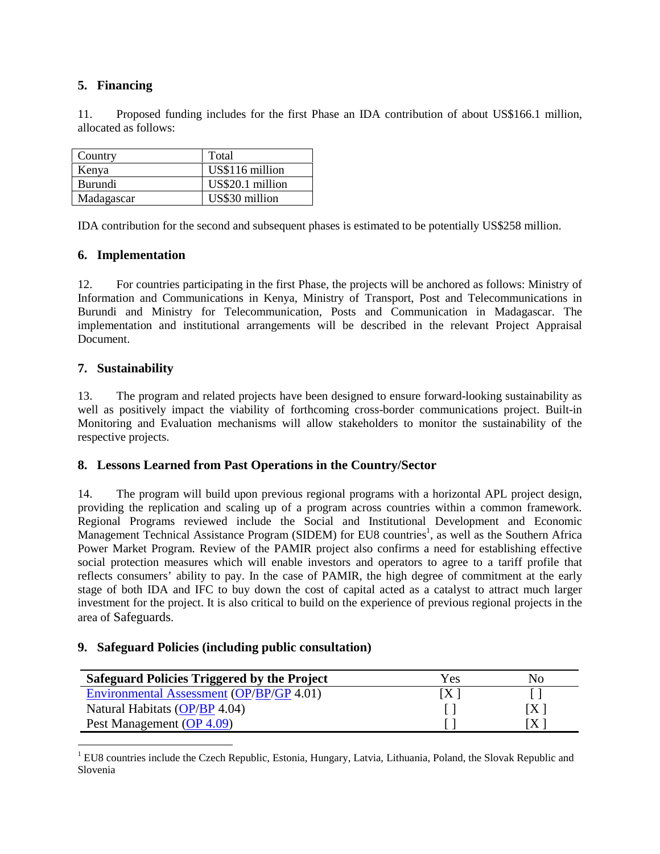## **5. Financing**

11. Proposed funding includes for the first Phase an IDA contribution of about US\$166.1 million, allocated as follows:

| Country        | Total            |
|----------------|------------------|
| Kenya          | US\$116 million  |
| <b>Burundi</b> | US\$20.1 million |
| Madagascar     | US\$30 million   |

IDA contribution for the second and subsequent phases is estimated to be potentially US\$258 million.

### **6. Implementation**

12. For countries participating in the first Phase, the projects will be anchored as follows: Ministry of Information and Communications in Kenya, Ministry of Transport, Post and Telecommunications in Burundi and Ministry for Telecommunication, Posts and Communication in Madagascar. The implementation and institutional arrangements will be described in the relevant Project Appraisal Document.

### **7. Sustainability**

13. The program and related projects have been designed to ensure forward-looking sustainability as well as positively impact the viability of forthcoming cross-border communications project. Built-in Monitoring and Evaluation mechanisms will allow stakeholders to monitor the sustainability of the respective projects.

#### **8. Lessons Learned from Past Operations in the Country/Sector**

14. The program will build upon previous regional programs with a horizontal APL project design, providing the replication and scaling up of a program across countries within a common framework. Regional Programs reviewed include the Social and Institutional Development and Economic Management Technical Assistance Program (SIDEM) for EU8 countries<sup>1</sup>, as well as the Southern Africa Power Market Program. Review of the PAMIR project also confirms a need for establishing effective social protection measures which will enable investors and operators to agree to a tariff profile that reflects consumers' ability to pay. In the case of PAMIR, the high degree of commitment at the early stage of both IDA and IFC to buy down the cost of capital acted as a catalyst to attract much larger investment for the project. It is also critical to build on the experience of previous regional projects in the area of Safeguards.

#### **9. Safeguard Policies (including public consultation)**

| <b>Safeguard Policies Triggered by the Project</b> | Yes | No           |
|----------------------------------------------------|-----|--------------|
| Environmental Assessment (OP/BP/GP 4.01)           | ıX  |              |
| Natural Habitats (OP/BP 4.04)                      |     | [Χ           |
| Pest Management (OP 4.09)                          |     | $\mathbf{X}$ |

 $1$  EU8 countries include the Czech Republic, Estonia, Hungary, Latvia, Lithuania, Poland, the Slovak Republic and Slovenia